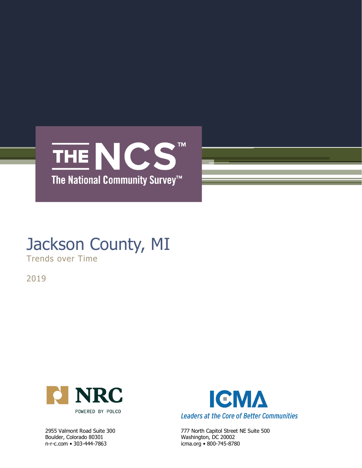

# Jackson County, MI

Trends over Time

2019



Boulder, Colorado 80301 Washington, DC 20002 n-r-c.com • 303-444-7863 icma.org • 800-745-8780



2955 Valmont Road Suite 300 777 North Capitol Street NE Suite 500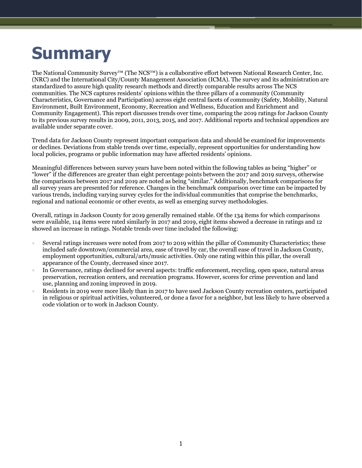# **Summary**

The National Community Survey™ (The NCS™) is a collaborative effort between National Research Center, Inc. (NRC) and the International City/County Management Association (ICMA). The survey and its administration are standardized to assure high quality research methods and directly comparable results across The NCS communities. The NCS captures residents' opinions within the three pillars of a community (Community Characteristics, Governance and Participation) across eight central facets of community (Safety, Mobility, Natural Environment, Built Environment, Economy, Recreation and Wellness, Education and Enrichment and Community Engagement). This report discusses trends over time, comparing the 2019 ratings for Jackson County to its previous survey results in 2009, 2011, 2013, 2015, and 2017. Additional reports and technical appendices are available under separate cover.

Trend data for Jackson County represent important comparison data and should be examined for improvements or declines. Deviations from stable trends over time, especially, represent opportunities for understanding how local policies, programs or public information may have affected residents' opinions.

Meaningful differences between survey years have been noted within the following tables as being "higher" or "lower" if the differences are greater than eight percentage points between the 2017 and 2019 surveys, otherwise the comparisons between 2017 and 2019 are noted as being "similar." Additionally, benchmark comparisons for all survey years are presented for reference. Changes in the benchmark comparison over time can be impacted by various trends, including varying survey cycles for the individual communities that comprise the benchmarks, regional and national economic or other events, as well as emerging survey methodologies.

Overall, ratings in Jackson County for 2019 generally remained stable. Of the 134 items for which comparisons were available, 114 items were rated similarly in 2017 and 2019, eight items showed a decrease in ratings and 12 showed an increase in ratings. Notable trends over time included the following:

- Several ratings increases were noted from 2017 to 2019 within the pillar of Community Characteristics; these included safe downtown/commercial area, ease of travel by car, the overall ease of travel in Jackson County, employment opportunities, cultural/arts/music activities. Only one rating within this pillar, the overall appearance of the County, decreased since 2017.
- In Governance, ratings declined for several aspects: traffic enforcement, recycling, open space, natural areas preservation, recreation centers, and recreation programs. However, scores for crime prevention and land use, planning and zoning improved in 2019.
- Residents in 2019 were more likely than in 2017 to have used Jackson County recreation centers, participated in religious or spiritual activities, volunteered, or done a favor for a neighbor, but less likely to have observed a code violation or to work in Jackson County.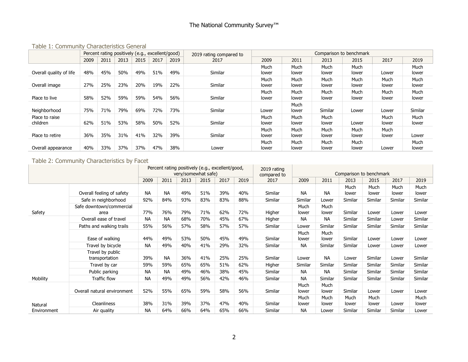#### Table 1: Community Characteristics General

|                            | Percent rating positively (e.g., excellent/good) |      |      |      |      |      | 2019 rating compared to |               |               |               | Comparison to benchmark |               |               |
|----------------------------|--------------------------------------------------|------|------|------|------|------|-------------------------|---------------|---------------|---------------|-------------------------|---------------|---------------|
|                            | 2009                                             | 2011 | 2013 | 2015 | 2017 | 2019 | 2017                    | 2009          | 2011          | 2013          | 2015                    | 2017          | 2019          |
| Overall quality of life    | 48%                                              | 45%  | 50%  | 49%  | 51%  | 49%  | Similar                 | Much<br>lower | Much<br>lower | Much<br>lower | Much<br>lower           | Lower         | Much<br>lower |
| Overall image              | 27%                                              | 25%  | 23%  | 20%  | 19%  | 22%  | Similar                 | Much<br>lower | Much<br>lower | Much<br>lower | Much<br>lower           | Much<br>lower | Much<br>lower |
| Place to live              | 58%                                              | 52%  | 59%  | 59%  | 54%  | 56%  | Similar                 | Much<br>lower | Much<br>lower | Much<br>lower | Much<br>lower           | Much<br>lower | Much<br>lower |
| Neighborhood               | 75%                                              | 71%  | 79%  | 69%  | 72%  | 73%  | Similar                 | Lower         | Much<br>lower | Similar       | Lower                   | Lower         | Similar       |
| Place to raise<br>children | 62%                                              | 51%  | 53%  | 58%  | 50%  | 52%  | Similar                 | Much<br>lower | Much<br>lower | Much<br>lower | Lower                   | Much<br>lower | Much<br>lower |
| Place to retire            | 36%                                              | 35%  | 31%  | 41%  | 32%  | 39%  | Similar                 | Much<br>lower | Much<br>lower | Much<br>lower | Much<br>lower           | Much<br>lower | Lower         |
| Overall appearance         | 40%                                              | 33%  | 37%  | 37%  | 47%  | 38%  | Lower                   | Much<br>lower | Much<br>lower | Much<br>lower | Much<br>lower           | Lower         | Much<br>lower |

Table 2: Community Characteristics by Facet

|             |                                    |           | Percent rating positively (e.g., excellent/good, | very/somewhat safe) |      |      |      | 2019 rating<br>compared to |               |               | Comparison to benchmark |               |               |                      |
|-------------|------------------------------------|-----------|--------------------------------------------------|---------------------|------|------|------|----------------------------|---------------|---------------|-------------------------|---------------|---------------|----------------------|
|             |                                    | 2009      | 2011                                             | 2013                | 2015 | 2017 | 2019 | 2017                       | 2009          | 2011          | 2013                    | 2015          | 2017          | 2019                 |
|             | Overall feeling of safety          | <b>NA</b> | <b>NA</b>                                        | 49%                 | 51%  | 39%  | 40%  | Similar                    | <b>NA</b>     | <b>NA</b>     | Much<br>lower           | Much<br>lower | Much<br>lower | Much<br>lower        |
|             | Safe in neighborhood               | 92%       | 84%                                              | 93%                 | 83%  | 83%  | 88%  | Similar                    | Similar       | Lower         | Similar                 | Similar       | Similar       | Similar              |
| Safety      | Safe downtown/commercial<br>area   | 77%       | 76%                                              | 79%                 | 71%  | 62%  | 72%  | Higher                     | Much<br>lower | Much<br>lower | Similar                 | Lower         | Lower         | Lower                |
|             | Overall ease of travel             | <b>NA</b> | <b>NA</b>                                        | 68%                 | 70%  | 45%  | 67%  | Higher                     | <b>NA</b>     | <b>NA</b>     | Similar                 | Similar       | Lower         | Similar              |
|             | Paths and walking trails           | 55%       | 56%                                              | 57%                 | 58%  | 57%  | 57%  | Similar                    | Lower         | Similar       | Similar                 | Similar       | Similar       | Similar              |
|             | Ease of walking                    | 44%       | 49%                                              | 53%                 | 50%  | 45%  | 49%  | Similar                    | Much<br>lower | Much<br>lower | Similar                 | Lower         | Lower         | Lower                |
|             | Travel by bicycle                  | <b>NA</b> | 49%                                              | 40%                 | 41%  | 29%  | 32%  | Similar                    | <b>NA</b>     | Similar       | Similar                 | Lower         | Lower         | Lower                |
|             | Travel by public<br>transportation | 39%       | <b>NA</b>                                        | 36%                 | 41%  | 25%  | 25%  | Similar                    | Lower         | <b>NA</b>     | Lower                   | Similar       | Lower         | Similar              |
|             | Travel by car                      | 59%       | 59%                                              | 65%                 | 65%  | 51%  | 62%  | Higher                     | Similar       | Similar       | Similar                 | Similar       | Similar       | Similar              |
|             | Public parking                     | <b>NA</b> | <b>NA</b>                                        | 49%                 | 46%  | 38%  | 45%  | Similar                    | <b>NA</b>     | <b>NA</b>     | Similar                 | Similar       | Similar       | Similar              |
| Mobility    | <b>Traffic flow</b>                | <b>NA</b> | 49%                                              | 49%                 | 56%  | 42%  | 46%  | Similar                    | <b>NA</b>     | Similar       | Similar                 | Similar       | Similar       | Similar              |
|             | Overall natural environment        | 52%       | 55%                                              | 65%                 | 59%  | 58%  | 56%  | Similar                    | Much<br>lower | Much<br>lower | Similar                 | Lower         | Lower         | Lower                |
| Natural     | <b>Cleanliness</b>                 | 38%       | 31%                                              | 39%                 | 37%  | 47%  | 40%  | Similar                    | Much<br>lower | Much<br>lower | Much<br>lower           | Much<br>lower | Lower         | <b>Much</b><br>lower |
| Environment | Air quality                        | <b>NA</b> | 64%                                              | 66%                 | 64%  | 65%  | 66%  | Similar                    | <b>NA</b>     | Lower         | Similar                 | Similar       | Similar       | Lower                |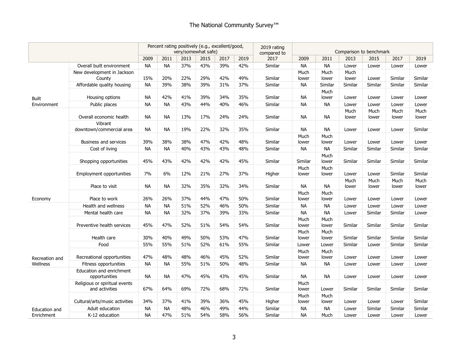### The National Community Survey<sup>™</sup>

|                             |                                                 |           | Percent rating positively (e.g., excellent/good, |      | very/somewhat safe) |      |      | 2019 rating<br>compared to |               |               | Comparison to benchmark |               |               |               |
|-----------------------------|-------------------------------------------------|-----------|--------------------------------------------------|------|---------------------|------|------|----------------------------|---------------|---------------|-------------------------|---------------|---------------|---------------|
|                             |                                                 | 2009      | 2011                                             | 2013 | 2015                | 2017 | 2019 | 2017                       | 2009          | 2011          | 2013                    | 2015          | 2017          | 2019          |
|                             | Overall built environment                       | <b>NA</b> | <b>NA</b>                                        | 37%  | 43%                 | 39%  | 42%  | Similar                    | <b>NA</b>     | <b>NA</b>     | Lower                   | Lower         | Lower         | Lower         |
|                             | New development in Jackson<br>County            | 15%       | 20%                                              | 22%  | 29%                 | 42%  | 49%  | Similar                    | Much<br>lower | Much<br>lower | Much<br>lower           | Lower         | Similar       | Similar       |
|                             | Affordable quality housing                      | <b>NA</b> | 39%                                              | 38%  | 39%                 | 31%  | 37%  | Similar                    | <b>NA</b>     | Similar       | Similar                 | Similar       | Similar       | Similar       |
|                             | Housing options                                 | NA        | 42%                                              | 41%  | 39%                 | 34%  | 35%  | Similar                    | <b>NA</b>     | Much<br>lower | Lower                   | Lower         | Lower         | Lower         |
| <b>Built</b><br>Environment | Public places                                   | <b>NA</b> | <b>NA</b>                                        | 43%  | 44%                 | 40%  | 46%  | Similar                    | <b>NA</b>     | <b>NA</b>     | Lower                   | Lower         | Lower         | Lower         |
|                             |                                                 |           |                                                  |      |                     |      |      |                            |               |               | Much                    | Much          | Much          | Much          |
|                             | Overall economic health                         | <b>NA</b> | <b>NA</b>                                        | 13%  | 17%                 | 24%  | 24%  | Similar                    | <b>NA</b>     | <b>NA</b>     | lower                   | lower         | lower         | lower         |
|                             | Vibrant<br>downtown/commercial area             | <b>NA</b> | <b>NA</b>                                        | 19%  | 22%                 | 32%  | 35%  | Similar                    | <b>NA</b>     | <b>NA</b>     | Lower                   | Lower         | Lower         | Similar       |
|                             | <b>Business and services</b>                    | 39%       | 38%                                              | 38%  | 47%                 | 42%  | 48%  | Similar                    | Much<br>lower | Much<br>lower | Lower                   | Lower         | Lower         | Lower         |
|                             | Cost of living                                  | <b>NA</b> | <b>NA</b>                                        | 40%  | 43%                 | 43%  | 48%  | Similar                    | <b>NA</b>     | <b>NA</b>     | Similar                 | Similar       | Similar       | Similar       |
|                             |                                                 |           |                                                  |      |                     |      |      |                            |               | Much          |                         |               |               |               |
|                             | Shopping opportunities                          | 45%       | 43%                                              | 42%  | 42%                 | 42%  | 45%  | Similar                    | Similar       | lower         | Similar                 | Similar       | Similar       | Similar       |
|                             |                                                 |           |                                                  |      |                     |      |      |                            | Much          | Much          |                         |               |               |               |
|                             | Employment opportunities                        | 7%        | 6%                                               | 12%  | 21%                 | 27%  | 37%  | Higher                     | lower         | lower         | Lower                   | Lower         | Similar       | Similar       |
|                             | Place to visit                                  | NA        | <b>NA</b>                                        | 32%  | 35%                 | 32%  | 34%  | Similar                    | <b>NA</b>     | <b>NA</b>     | Much<br>lower           | Much<br>lower | Much<br>lower | Much<br>lower |
| Economy                     | Place to work                                   | 26%       | 26%                                              | 37%  | 44%                 | 47%  | 50%  | Similar                    | Much<br>lower | Much<br>lower | Lower                   | Lower         | Lower         | Lower         |
|                             | Health and wellness                             | <b>NA</b> | <b>NA</b>                                        | 51%  | 52%                 | 46%  | 50%  | Similar                    | <b>NA</b>     | <b>NA</b>     | Lower                   | Lower         | Lower         | Lower         |
|                             | Mental health care                              | <b>NA</b> | <b>NA</b>                                        | 32%  | 37%                 | 39%  | 33%  | Similar                    | <b>NA</b>     | <b>NA</b>     | Lower                   | Similar       | Similar       | Lower         |
|                             | Preventive health services                      | 45%       | 47%                                              | 52%  | 51%                 | 54%  | 54%  | Similar                    | Much<br>lower | Much<br>lower | Similar                 | Similar       | Similar       | Similar       |
|                             | Health care                                     | 30%       | 40%                                              | 49%  | 50%                 | 53%  | 47%  | Similar                    | Much<br>lower | Much<br>lower | Similar                 | Similar       | Similar       | Similar       |
|                             | Food                                            | 55%       | 55%                                              | 51%  | 52%                 | 61%  | 55%  | Similar                    | Lower         | Lower         | Similar                 | Lower         | Similar       | Similar       |
| Recreation and              | Recreational opportunities                      | 47%       | 48%                                              | 48%  | 46%                 | 45%  | 52%  | Similar                    | Much<br>lower | Much<br>lower | Lower                   | Lower         | Lower         | Lower         |
| Wellness                    | Fitness opportunities                           | <b>NA</b> | <b>NA</b>                                        | 55%  | 51%                 | 50%  | 48%  | Similar                    | <b>NA</b>     | <b>NA</b>     | Lower                   | Lower         | Lower         | Lower         |
|                             | Education and enrichment                        |           |                                                  |      |                     |      |      |                            |               |               |                         |               |               |               |
|                             | opportunities                                   | NA.       | <b>NA</b>                                        | 47%  | 45%                 | 43%  | 45%  | Similar                    | <b>NA</b>     | <b>NA</b>     | Lower                   | Lower         | Lower         | Lower         |
|                             | Religious or spiritual events<br>and activities | 67%       | 64%                                              | 69%  | 72%                 | 68%  | 72%  | Similar                    | Much<br>lower | Lower         | Similar                 | Similar       | Similar       | Similar       |
|                             |                                                 |           |                                                  |      |                     |      |      |                            | Much          | Much          |                         |               |               |               |
|                             | Cultural/arts/music activities                  | 34%       | 37%                                              | 41%  | 39%                 | 36%  | 45%  | Higher                     | lower         | lower         | Lower                   | Lower         | Lower         | Similar       |
| Education and               | Adult education                                 | <b>NA</b> | <b>NA</b>                                        | 48%  | 46%                 | 49%  | 44%  | Similar                    | <b>NA</b>     | <b>NA</b>     | Lower                   | Similar       | Similar       | Similar       |
| Enrichment                  | K-12 education                                  | <b>NA</b> | 47%                                              | 51%  | 54%                 | 58%  | 56%  | Similar                    | <b>NA</b>     | Much          | Lower                   | Lower         | Lower         | Lower         |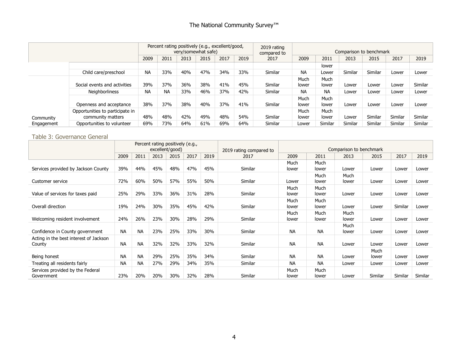### The National Community Survey<sup>™</sup>

|            |                                                      |           |           |      | Percent rating positively (e.g., excellent/good,<br>very/somewhat safe) |      |      | 2019 rating<br>compared to |               |               | Comparison to benchmark |         |         |         |
|------------|------------------------------------------------------|-----------|-----------|------|-------------------------------------------------------------------------|------|------|----------------------------|---------------|---------------|-------------------------|---------|---------|---------|
|            |                                                      | 2009      | 2011      | 2013 | 2015                                                                    | 2017 | 2019 | 2017                       | 2009          | 2011          | 2013                    | 2015    | 2017    | 2019    |
|            |                                                      |           |           |      |                                                                         |      |      |                            |               | lower         |                         |         |         |         |
|            | Child care/preschool                                 | <b>NA</b> | 33%       | 40%  | 47%                                                                     | 34%  | 33%  | Similar                    | <b>NA</b>     | Lower         | Similar                 | Similar | Lower   | Lower   |
|            | Social events and activities                         | 39%       | 37%       | 36%  | 38%                                                                     | 41%  | 45%  | Similar                    | Much<br>lower | Much<br>lower | Lower                   | Lower   | Lower   | Similar |
|            | <b>Neighborliness</b>                                | <b>NA</b> | <b>NA</b> | 33%  | 46%                                                                     | 37%  | 42%  | Similar                    | <b>NA</b>     | <b>NA</b>     | Lower                   | Lower   | Lower   | Lower   |
|            | Openness and acceptance                              | 38%       | 37%       | 38%  | 40%                                                                     | 37%  | 41%  | Similar                    | Much<br>lower | Much<br>lower | Lower                   | Lower   | Lower   | Lower   |
| Community  | Opportunities to participate in<br>community matters | 48%       | 48%       | 42%  | 49%                                                                     | 48%  | 54%  | Similar                    | Much<br>lower | Much<br>lower | Lower                   | Similar | Similar | Similar |
| Engagement | Opportunities to volunteer                           | 69%       | 73%       | 64%  | 61%                                                                     | 69%  | 64%  | Similar                    | Lower         | Similar       | Similar                 | Similar | Similar | Similar |

#### Table 3: Governance General

|                                                  |           |           | Percent rating positively (e.g.,<br>excellent/good) |      |      |      | 2019 rating compared to |               |               | Comparison to benchmark |               |         |         |
|--------------------------------------------------|-----------|-----------|-----------------------------------------------------|------|------|------|-------------------------|---------------|---------------|-------------------------|---------------|---------|---------|
|                                                  | 2009      | 2011      | 2013                                                | 2015 | 2017 | 2019 | 2017                    | 2009          | 2011          | 2013                    | 2015          | 2017    | 2019    |
| Services provided by Jackson County              | 39%       | 44%       | 45%                                                 | 48%  | 47%  | 45%  | Similar                 | Much<br>lower | Much<br>lower | Lower                   | Lower         | Lower   | Lower   |
| Customer service                                 | 72%       | 60%       | 50%                                                 | 57%  | 55%  | 50%  | Similar                 | Lower         | Much<br>lower | Much<br>lower           | Lower         | Lower   | Lower   |
| Value of services for taxes paid                 | 25%       | 29%       | 33%                                                 | 36%  | 31%  | 28%  | Similar                 | Much<br>lower | Much<br>lower | Lower                   | Lower         | Lower   | Lower   |
| Overall direction                                | 19%       | 24%       | 30%                                                 | 35%  | 45%  | 42%  | Similar                 | Much<br>lower | Much<br>lower | Lower                   | Lower         | Similar | Lower   |
| Welcoming resident involvement                   | 24%       | 26%       | 23%                                                 | 30%  | 28%  | 29%  | Similar                 | Much<br>lower | Much<br>lower | Much<br>lower           | Lower         | Lower   | Lower   |
| Confidence in County government                  | <b>NA</b> | <b>NA</b> | 23%                                                 | 25%  | 33%  | 30%  | Similar                 | <b>NA</b>     | <b>NA</b>     | Much<br>lower           | Lower         | Lower   | Lower   |
| Acting in the best interest of Jackson<br>County | <b>NA</b> | <b>NA</b> | 32%                                                 | 32%  | 33%  | 32%  | Similar                 | <b>NA</b>     | <b>NA</b>     | Lower                   | Lower         | Lower   | Lower   |
| Being honest                                     | <b>NA</b> | <b>NA</b> | 29%                                                 | 25%  | 35%  | 34%  | Similar                 | <b>NA</b>     | <b>NA</b>     | Lower                   | Much<br>lower | Lower   | Lower   |
| Treating all residents fairly                    | <b>NA</b> | <b>NA</b> | 27%                                                 | 29%  | 34%  | 35%  | Similar                 | <b>NA</b>     | <b>NA</b>     | Lower                   | Lower         | Lower   | Lower   |
| Services provided by the Federal<br>Government   | 23%       | 20%       | 20%                                                 | 30%  | 32%  | 28%  | Similar                 | Much<br>lower | Much<br>lower | Lower                   | Similar       | Similar | Similar |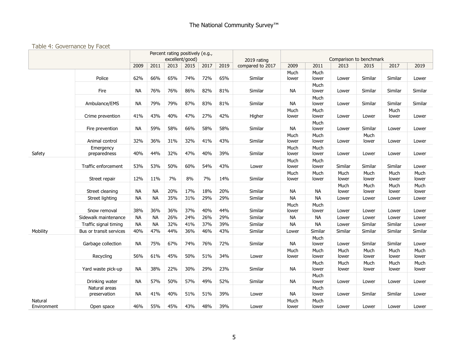#### Table 4: Governance by Facet

|                        |                               |           |           | Percent rating positively (e.g.,<br>excellent/good) |      |      |      | 2019 rating      |               |               | Comparison to benchmark |               |               |               |
|------------------------|-------------------------------|-----------|-----------|-----------------------------------------------------|------|------|------|------------------|---------------|---------------|-------------------------|---------------|---------------|---------------|
|                        |                               | 2009      | 2011      | 2013                                                | 2015 | 2017 | 2019 | compared to 2017 | 2009          | 2011          | 2013                    | 2015          | 2017          | 2019          |
|                        | Police                        | 62%       | 66%       | 65%                                                 | 74%  | 72%  | 65%  | Similar          | Much<br>lower | Much<br>lower | Lower                   | Similar       | Similar       | Lower         |
|                        | Fire                          | <b>NA</b> | 76%       | 76%                                                 | 86%  | 82%  | 81%  | Similar          | <b>NA</b>     | Much<br>lower | Lower                   | Similar       | Similar       | Similar       |
|                        | Ambulance/EMS                 | <b>NA</b> | 79%       | 79%                                                 | 87%  | 83%  | 81%  | Similar          | <b>NA</b>     | Much<br>lower | Lower                   | Similar       | Similar       | Similar       |
|                        | Crime prevention              | 41%       | 43%       | 40%                                                 | 47%  | 27%  | 42%  | Higher           | Much<br>lower | Much<br>lower | Lower                   | Lower         | Much<br>lower | Lower         |
|                        | Fire prevention               | <b>NA</b> | 59%       | 58%                                                 | 66%  | 58%  | 58%  | Similar          | <b>NA</b>     | Much<br>lower | Lower                   | Similar       | Lower         | Lower         |
|                        | Animal control                | 32%       | 36%       | 31%                                                 | 32%  | 41%  | 43%  | Similar          | Much<br>lower | Much<br>lower | Lower                   | Much<br>lower | Lower         | Lower         |
| Safety                 | Emergency<br>preparedness     | 40%       | 44%       | 32%                                                 | 47%  | 40%  | 39%  | Similar          | Much<br>lower | Much<br>lower | Lower                   | Lower         | Lower         | Lower         |
|                        | Traffic enforcement           | 53%       | 53%       | 50%                                                 | 60%  | 54%  | 43%  | Lower            | Much<br>lower | Much<br>lower | Similar                 | Similar       | Similar       | Lower         |
|                        | Street repair                 | 12%       | 11%       | 7%                                                  | 8%   | 7%   | 14%  | Similar          | Much<br>lower | Much<br>lower | Much<br>lower           | Much<br>lower | Much<br>lower | Much<br>lower |
|                        | Street cleaning               | <b>NA</b> | <b>NA</b> | 20%                                                 | 17%  | 18%  | 20%  | Similar          | <b>NA</b>     | <b>NA</b>     | Much<br>lower           | Much<br>lower | Much<br>lower | Much<br>lower |
|                        | Street lighting               | <b>NA</b> | <b>NA</b> | 35%                                                 | 31%  | 29%  | 29%  | Similar          | <b>NA</b>     | <b>NA</b>     | Lower                   | Lower         | Lower         | Lower         |
|                        | Snow removal                  | 38%       | 36%       | 36%                                                 | 37%  | 40%  | 44%  | Similar          | Much<br>lower | Much<br>lower | Lower                   | Lower         | Lower         | Lower         |
|                        | Sidewalk maintenance          | <b>NA</b> | <b>NA</b> | 26%                                                 | 24%  | 26%  | 29%  | Similar          | <b>NA</b>     | <b>NA</b>     | Lower                   | Lower         | Lower         | Lower         |
|                        | Traffic signal timing         | <b>NA</b> | <b>NA</b> | 32%                                                 | 41%  | 37%  | 39%  | Similar          | <b>NA</b>     | <b>NA</b>     | Lower                   | Similar       | Similar       | Lower         |
| Mobility               | Bus or transit services       | 40%       | 47%       | 44%                                                 | 36%  | 46%  | 43%  | Similar          | Lower         | Similar       | Similar                 | Similar       | Similar       | Similar       |
|                        | Garbage collection            | <b>NA</b> | 75%       | 67%                                                 | 74%  | 76%  | 72%  | Similar          | <b>NA</b>     | Much<br>lower | Lower                   | Similar       | Similar       | Lower         |
|                        | Recycling                     | 56%       | 61%       | 45%                                                 | 50%  | 51%  | 34%  | Lower            | Much<br>lower | Much<br>lower | Much<br>lower           | Much<br>lower | Much<br>lower | Much<br>lower |
|                        | Yard waste pick-up            | <b>NA</b> | 38%       | 22%                                                 | 30%  | 29%  | 23%  | Similar          | <b>NA</b>     | Much<br>lower | Much<br>lower           | Much<br>lower | Much<br>lower | Much<br>lower |
|                        | Drinking water                | <b>NA</b> | 57%       | 50%                                                 | 57%  | 49%  | 52%  | Similar          | <b>NA</b>     | Much<br>lower | Lower                   | Lower         | Lower         | Lower         |
|                        | Natural areas<br>preservation | <b>NA</b> | 41%       | 40%                                                 | 51%  | 51%  | 39%  | Lower            | <b>NA</b>     | Much<br>lower | Lower                   | Similar       | Similar       | Lower         |
| Natural<br>Environment | Open space                    | 46%       | 55%       | 45%                                                 | 43%  | 48%  | 39%  | Lower            | Much<br>lower | Much<br>lower | Lower                   | Lower         | Lower         | Lower         |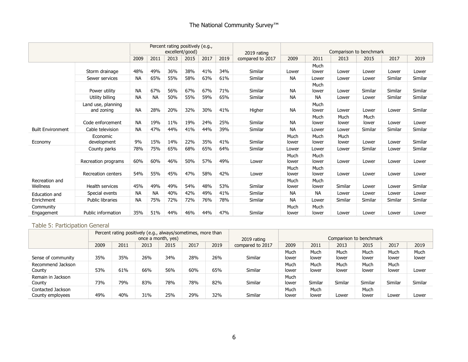|                            |                                  |           |           | Percent rating positively (e.g., | excellent/good) |      |      | 2019 rating      |               |               | Comparison to benchmark |               |         |         |
|----------------------------|----------------------------------|-----------|-----------|----------------------------------|-----------------|------|------|------------------|---------------|---------------|-------------------------|---------------|---------|---------|
|                            |                                  | 2009      | 2011      | 2013                             | 2015            | 2017 | 2019 | compared to 2017 | 2009          | 2011          | 2013                    | 2015          | 2017    | 2019    |
|                            | Storm drainage                   | 48%       | 49%       | 36%                              | 38%             | 41%  | 34%  | Similar          | Lower         | Much<br>lower | Lower                   | Lower         | Lower   | Lower   |
|                            | Sewer services                   | NА        | 65%       | 55%                              | 58%             | 63%  | 61%  | Similar          | <b>NA</b>     | Lower         | Lower                   | Lower         | Similar | Similar |
|                            | Power utility                    | <b>NA</b> | 67%       | 56%                              | 67%             | 67%  | 71%  | Similar          | <b>NA</b>     | Much<br>lower | Lower                   | Similar       | Similar | Similar |
|                            | Utility billing                  | <b>NA</b> | <b>NA</b> | 50%                              | 55%             | 59%  | 65%  | Similar          | <b>NA</b>     | <b>NA</b>     | Lower                   | Lower         | Similar | Similar |
|                            | Land use, planning<br>and zoning | <b>NA</b> | 28%       | 20%                              | 32%             | 30%  | 41%  | Higher           | <b>NA</b>     | Much<br>lower | Lower                   | Lower         | Lower   | Similar |
|                            | Code enforcement                 | <b>NA</b> | 19%       | 11%                              | 19%             | 24%  | 25%  | Similar          | <b>NA</b>     | Much<br>lower | Much<br>lower           | Much<br>lower | Lower   | Lower   |
| <b>Built Environment</b>   | Cable television                 | <b>NA</b> | 47%       | 44%                              | 41%             | 44%  | 39%  | Similar          | <b>NA</b>     | Lower         | Lower                   | Similar       | Similar | Similar |
| Economy                    | Economic<br>development          | 9%        | 15%       | 14%                              | 22%             | 35%  | 41%  | Similar          | Much<br>lower | Much<br>lower | Much<br>lower           | Lower         | Lower   | Similar |
|                            | County parks                     | 78%       | 75%       | 65%                              | 68%             | 65%  | 64%  | Similar          | Lower         | Lower         | Lower                   | Similar       | Lower   | Similar |
|                            | Recreation programs              | 60%       | 60%       | 46%                              | 50%             | 57%  | 49%  | Lower            | Much<br>lower | Much<br>lower | Lower                   | Lower         | Lower   | Lower   |
|                            | <b>Recreation centers</b>        | 54%       | 55%       | 45%                              | 47%             | 58%  | 42%  | Lower            | Much<br>lower | Much<br>lower | Lower                   | Lower         | Lower   | Lower   |
| Recreation and<br>Wellness | <b>Health services</b>           | 45%       | 49%       | 49%                              | 54%             | 48%  | 53%  | Similar          | Much<br>lower | Much<br>lower | Similar                 | Lower         | Lower   | Similar |
| Education and              | Special events                   | <b>NA</b> | <b>NA</b> | 40%                              | 42%             | 49%  | 41%  | Similar          | <b>NA</b>     | <b>NA</b>     | Lower                   | Lower         | Lower   | Lower   |
| Enrichment                 | <b>Public libraries</b>          | <b>NA</b> | 75%       | 72%                              | 72%             | 76%  | 78%  | Similar          | <b>NA</b>     | Lower         | Similar                 | Similar       | Similar | Similar |
| Community<br>Engagement    | <b>Public information</b>        | 35%       | 51%       | 44%                              | 46%             | 44%  | 47%  | Similar          | Much<br>lower | Much<br>lower | Lower                   | Lower         | Lower   | Lower   |

#### Table 5: Participation General

|                    |      |      |                    | Percent rating positively (e.g., always/sometimes, more than |      |      |                  |       |         |         |                         |         |         |
|--------------------|------|------|--------------------|--------------------------------------------------------------|------|------|------------------|-------|---------|---------|-------------------------|---------|---------|
|                    |      |      | once a month, yes) |                                                              |      |      | 2019 rating      |       |         |         | Comparison to benchmark |         |         |
|                    | 2009 | 2011 | 2013               | 2015                                                         | 2017 | 2019 | compared to 2017 | 2009  | 2011    | 2013    | 2015                    | 2017    | 2019    |
|                    |      |      |                    |                                                              |      |      |                  | Much  | Much    | Much    | Much                    | Much    | Much    |
| Sense of community | 35%  | 35%  | 26%                | 34%                                                          | 28%  | 26%  | Similar          | lower | lower   | lower   | lower                   | lower   | lower   |
| Recommend Jackson  |      |      |                    |                                                              |      |      |                  | Much  | Much    | Much    | Much                    | Much    |         |
| County             | 53%  | 61%  | 66%                | 56%                                                          | 60%  | 65%  | Similar          | lower | lower   | lower   | lower                   | lower   | Lower   |
| Remain in Jackson  |      |      |                    |                                                              |      |      |                  | Much  |         |         |                         |         |         |
| County             | 73%  | 79%  | 83%                | 78%                                                          | 78%  | 82%  | Similar          | lower | Similar | Similar | Similar                 | Similar | Similar |
| Contacted Jackson  |      |      |                    |                                                              |      |      |                  | Much  | Much    |         | Much                    |         |         |
| County employees   | 49%  | 40%  | 31%                | 25%                                                          | 29%  | 32%  | Similar          | lower | lower   | Lower   | lower                   | Lower   | Lower   |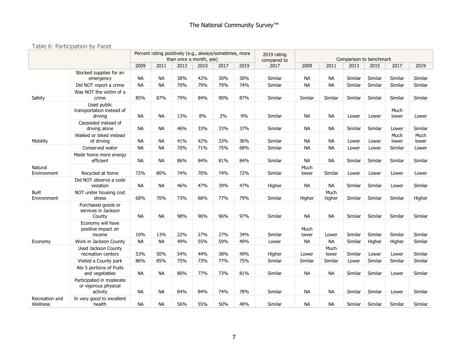#### Table 6: Participation by Facet

|                             |                                                              |           |           | Percent rating positively (e.g., always/sometimes, more<br>than once a month, yes) |      |      |      | 2019 rating<br>compared to |               |                | Comparison to benchmark |         |               |               |
|-----------------------------|--------------------------------------------------------------|-----------|-----------|------------------------------------------------------------------------------------|------|------|------|----------------------------|---------------|----------------|-------------------------|---------|---------------|---------------|
|                             |                                                              | 2009      | 2011      | 2013                                                                               | 2015 | 2017 | 2019 | 2017                       | 2009          | 2011           | 2013                    | 2015    | 2017          | 2019          |
|                             | Stocked supplies for an<br>emergency                         | <b>NA</b> | <b>NA</b> | 38%                                                                                | 42%  | 30%  | 30%  | Similar                    | <b>NA</b>     | <b>NA</b>      | Similar                 | Similar | Similar       | Similar       |
|                             | Did NOT report a crime                                       | <b>NA</b> | <b>NA</b> | 70%                                                                                | 79%  | 79%  | 74%  | Similar                    | <b>NA</b>     | <b>NA</b>      | Similar                 | Similar | Similar       | Similar       |
| Safety                      | Was NOT the victim of a<br>crime                             | 85%       | 87%       | 79%                                                                                | 84%  | 90%  | 87%  | Similar                    | Similar       | Similar        | Similar                 | Similar | Similar       | Similar       |
|                             | Used public<br>transportation instead of<br>driving          | <b>NA</b> | <b>NA</b> | 13%                                                                                | 8%   | 2%   | 9%   | Similar                    | <b>NA</b>     | <b>NA</b>      | Lower                   | Lower   | Much<br>lower | Lower         |
|                             | Carpooled instead of<br>driving alone                        | <b>NA</b> | <b>NA</b> | 46%                                                                                | 33%  | 33%  | 37%  | Similar                    | <b>NA</b>     | <b>NA</b>      | Similar                 | Similar | Lower         | Similar       |
| Mobility                    | Walked or biked instead<br>of driving                        | <b>NA</b> | <b>NA</b> | 41%                                                                                | 42%  | 33%  | 36%  | Similar                    | <b>NA</b>     | <b>NA</b>      | Lower                   | Lower   | Much<br>lower | Much<br>lower |
|                             | Conserved water                                              | <b>NA</b> | <b>NA</b> | 70%                                                                                | 71%  | 75%  | 68%  | Similar                    | <b>NA</b>     | <b>NA</b>      | Lower                   | Lower   | Similar       | Lower         |
|                             | Made home more energy<br>efficient                           | <b>NA</b> | <b>NA</b> | 86%                                                                                | 84%  | 81%  | 84%  | Similar                    | <b>NA</b>     | <b>NA</b>      | Similar                 | Similar | Similar       | Similar       |
| Natural<br>Environment      | Recycled at home                                             | 72%       | 80%       | 74%                                                                                | 70%  | 74%  | 72%  | Similar                    | Much<br>lower | Similar        | Lower                   | Lower   | Lower         | Lower         |
|                             | Did NOT observe a code<br>violation                          | <b>NA</b> | <b>NA</b> | 46%                                                                                | 47%  | 39%  | 47%  | Higher                     | <b>NA</b>     | NА             | Similar                 | Similar | Lower         | Similar       |
| <b>Built</b><br>Environment | NOT under housing cost<br>stress                             | 68%       | 70%       | 73%                                                                                | 68%  | 77%  | 79%  | Similar                    | Higher        | Much<br>higher | Similar                 | Similar | Similar       | Higher        |
|                             | Purchased goods or<br>services in Jackson<br>County          | <b>NA</b> | <b>NA</b> | 98%                                                                                | 96%  | 96%  | 97%  | Similar                    | <b>NA</b>     | <b>NA</b>      | Similar                 | Similar | Similar       | Similar       |
|                             | Economy will have<br>positive impact on<br>income            | 10%       | 13%       | 22%                                                                                | 27%  | 27%  | 34%  | Similar                    | Much<br>lower | Lower          | Similar                 | Similar | Similar       | Similar       |
| Economy                     | Work in Jackson County                                       | <b>NA</b> | <b>NA</b> | 49%                                                                                | 55%  | 59%  | 49%  | Lower                      | <b>NA</b>     | <b>NA</b>      | Similar                 | Higher  | Higher        | Similar       |
|                             | Used Jackson County<br>recreation centers                    | 53%       | 50%       | 54%                                                                                | 44%  | 38%  | 49%  | Higher                     | Lower         | Much<br>lower  | Similar                 | Lower   | Lower         | Similar       |
|                             | Visited a County park                                        | 86%       | 85%       | 75%                                                                                | 73%  | 77%  | 75%  | Similar                    | Similar       | Similar        | Lower                   | Similar | Similar       | Similar       |
|                             | Ate 5 portions of fruits<br>and vegetables                   | <b>NA</b> | <b>NA</b> | 80%                                                                                | 77%  | 73%  | 81%  | Similar                    | <b>NA</b>     | <b>NA</b>      | Similar                 | Similar | Lower         | Similar       |
|                             | Participated in moderate<br>or vigorous physical<br>activity | <b>NA</b> | <b>NA</b> | 84%                                                                                | 84%  | 74%  | 78%  | Similar                    | <b>NA</b>     | <b>NA</b>      | Similar                 | Similar | Lower         | Similar       |
| Recreation and<br>Wellness  | In very good to excellent<br>health                          | <b>NA</b> | <b>NA</b> | 56%                                                                                | 55%  | 50%  | 49%  | Similar                    | <b>NA</b>     | <b>NA</b>      | Similar                 | Similar | Similar       | Similar       |